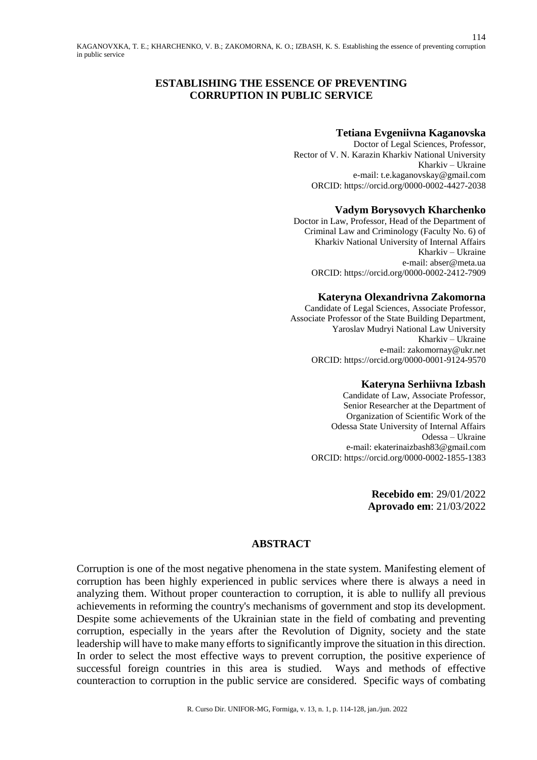# **ESTABLISHING THE ESSENCE OF PREVENTING CORRUPTION IN PUBLIC SERVICE**

#### **Tetiana Evgeniivna Kaganovska**

114

Doctor of Legal Sciences, Professor, Rector of V. N. Karazin Kharkiv National University Kharkiv – Ukraine e-mail: [t.e.kaganovskay@gmail.com](mailto:t.e.kaganovskay@gmail.com) ORCID[: https://orcid.org/0000-0002-4427-2038](https://orcid.org/0000-0002-4427-2038)

### **Vadym Borysovych Kharchenko**

Doctor in Law, Professor, Head of the Department of Criminal Law and Criminology (Faculty No. 6) of Kharkiv National University of Internal Affairs Kharkiv – Ukraine e-mail: abser@meta.ua ORCID[: https://orcid.org/0000-0002-2412-7909](https://orcid.org/0000-0002-2412-7909)

### **Kateryna Olexandrivna Zakomorna**

Candidate of Legal Sciences, Associate Professor, Associate Professor of the State Building Department, Yaroslav Mudryi National Law University Kharkiv – Ukraine e-mail: [zakomornay@ukr.net](mailto:zakomornay@ukr.net) ORCID: <https://orcid.org/0000-0001-9124-9570>

#### **Kateryna Serhiivna Izbash**

Candidate of Law, Associate Professor, Senior Researcher at the Department of Organization of Scientific Work of the Odessa State University of Internal Affairs Odessa – Ukraine e-mail: [ekaterinaizbash83@gmail.com](mailto:ekaterinaizbash83@gmail.com) ORCID: <https://orcid.org/0000-0002-1855-1383>

> **Recebido em**: 29/01/2022 **Aprovado em**: 21/03/2022

### **ABSTRACT**

Corruption is one of the most negative phenomena in the state system. Manifesting element of corruption has been highly experienced in public services where there is always a need in analyzing them. Without proper counteraction to corruption, it is able to nullify all previous achievements in reforming the country's mechanisms of government and stop its development. Despite some achievements of the Ukrainian state in the field of combating and preventing corruption, especially in the years after the Revolution of Dignity, society and the state leadership will have to make many efforts to significantly improve the situation in this direction. In order to select the most effective ways to prevent corruption, the positive experience of successful foreign countries in this area is studied. Ways and methods of effective counteraction to corruption in the public service are considered. Specific ways of combating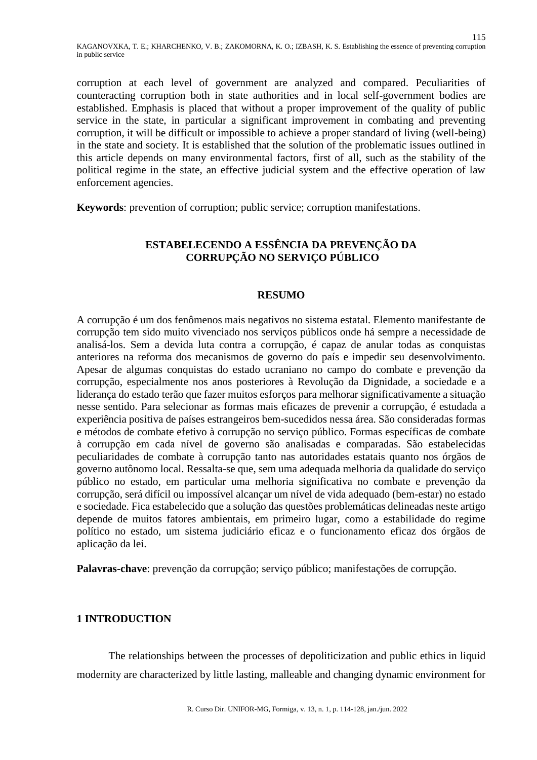corruption at each level of government are analyzed and compared. Peculiarities of counteracting corruption both in state authorities and in local self-government bodies are established. Emphasis is placed that without a proper improvement of the quality of public service in the state, in particular a significant improvement in combating and preventing corruption, it will be difficult or impossible to achieve a proper standard of living (well-being) in the state and society. It is established that the solution of the problematic issues outlined in this article depends on many environmental factors, first of all, such as the stability of the political regime in the state, an effective judicial system and the effective operation of law enforcement agencies.

**Keywords**: prevention of corruption; public service; corruption manifestations.

# **ESTABELECENDO A ESSÊNCIA DA PREVENÇÃO DA CORRUPÇÃO NO SERVIÇO PÚBLICO**

### **RESUMO**

A corrupção é um dos fenômenos mais negativos no sistema estatal. Elemento manifestante de corrupção tem sido muito vivenciado nos serviços públicos onde há sempre a necessidade de analisá-los. Sem a devida luta contra a corrupção, é capaz de anular todas as conquistas anteriores na reforma dos mecanismos de governo do país e impedir seu desenvolvimento. Apesar de algumas conquistas do estado ucraniano no campo do combate e prevenção da corrupção, especialmente nos anos posteriores à Revolução da Dignidade, a sociedade e a liderança do estado terão que fazer muitos esforços para melhorar significativamente a situação nesse sentido. Para selecionar as formas mais eficazes de prevenir a corrupção, é estudada a experiência positiva de países estrangeiros bem-sucedidos nessa área. São consideradas formas e métodos de combate efetivo à corrupção no serviço público. Formas específicas de combate à corrupção em cada nível de governo são analisadas e comparadas. São estabelecidas peculiaridades de combate à corrupção tanto nas autoridades estatais quanto nos órgãos de governo autônomo local. Ressalta-se que, sem uma adequada melhoria da qualidade do serviço público no estado, em particular uma melhoria significativa no combate e prevenção da corrupção, será difícil ou impossível alcançar um nível de vida adequado (bem-estar) no estado e sociedade. Fica estabelecido que a solução das questões problemáticas delineadas neste artigo depende de muitos fatores ambientais, em primeiro lugar, como a estabilidade do regime político no estado, um sistema judiciário eficaz e o funcionamento eficaz dos órgãos de aplicação da lei.

**Palavras-chave**: prevenção da corrupção; serviço público; manifestações de corrupção.

# **1 INTRODUCTION**

The relationships between the processes of depoliticization and public ethics in liquid modernity are characterized by little lasting, malleable and changing dynamic environment for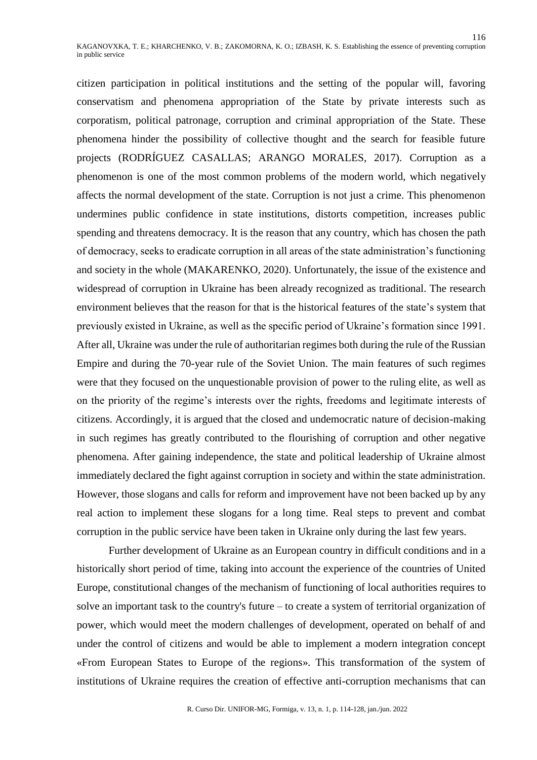citizen participation in political institutions and the setting of the popular will, favoring conservatism and phenomena appropriation of the State by private interests such as corporatism, political patronage, corruption and criminal appropriation of the State. These phenomena hinder the possibility of collective thought and the search for feasible future projects (RODRÍGUEZ CASALLAS; ARANGO MORALES, 2017). Corruption as a phenomenon is one of the most common problems of the modern world, which negatively affects the normal development of the state. Corruption is not just a crime. This phenomenon undermines public confidence in state institutions, distorts competition, increases public spending and threatens democracy. It is the reason that any country, which has chosen the path of democracy, seeks to eradicate corruption in all areas of the state administration's functioning and society in the whole (MAKARENKO, 2020). Unfortunately, the issue of the existence and widespread of corruption in Ukraine has been already recognized as traditional. The research environment believes that the reason for that is the historical features of the state's system that previously existed in Ukraine, as well as the specific period of Ukraine's formation since 1991. After all, Ukraine was under the rule of authoritarian regimes both during the rule of the Russian Empire and during the 70-year rule of the Soviet Union. The main features of such regimes were that they focused on the unquestionable provision of power to the ruling elite, as well as on the priority of the regime's interests over the rights, freedoms and legitimate interests of citizens. Accordingly, it is argued that the closed and undemocratic nature of decision-making in such regimes has greatly contributed to the flourishing of corruption and other negative phenomena. After gaining independence, the state and political leadership of Ukraine almost immediately declared the fight against corruption in society and within the state administration. However, those slogans and calls for reform and improvement have not been backed up by any real action to implement these slogans for a long time. Real steps to prevent and combat corruption in the public service have been taken in Ukraine only during the last few years.

Further development of Ukraine as an European country in difficult conditions and in a historically short period of time, taking into account the experience of the countries of United Europe, constitutional changes of the mechanism of functioning of local authorities requires to solve an important task to the country's future – to create a system of territorial organization of power, which would meet the modern challenges of development, operated on behalf of and under the control of citizens and would be able to implement a modern integration concept «From European States to Europe of the regions». This transformation of the system of institutions of Ukraine requires the creation of effective anti-corruption mechanisms that can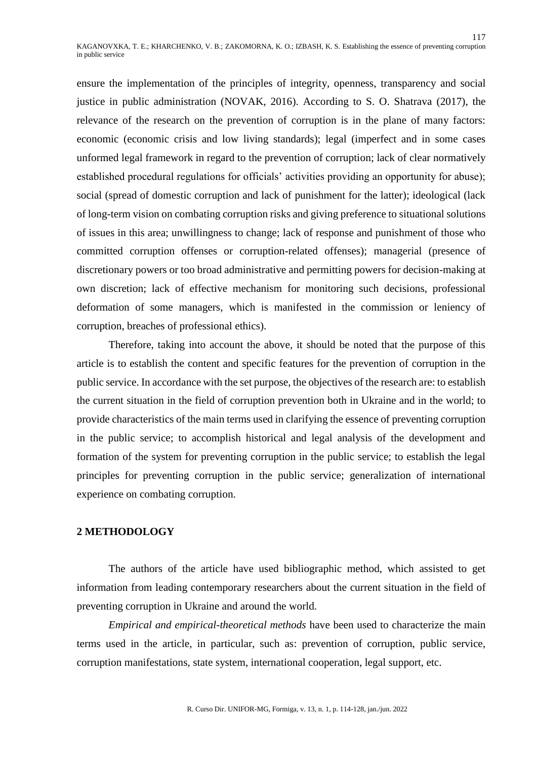ensure the implementation of the principles of integrity, openness, transparency and social justice in public administration (NOVAK, 2016). According to S. O. Shatrava (2017), the relevance of the research on the prevention of corruption is in the plane of many factors: economic (economic crisis and low living standards); legal (imperfect and in some cases unformed legal framework in regard to the prevention of corruption; lack of clear normatively established procedural regulations for officials' activities providing an opportunity for abuse); social (spread of domestic corruption and lack of punishment for the latter); ideological (lack of long-term vision on combating corruption risks and giving preference to situational solutions of issues in this area; unwillingness to change; lack of response and punishment of those who committed corruption offenses or corruption-related offenses); managerial (presence of discretionary powers or too broad administrative and permitting powers for decision-making at own discretion; lack of effective mechanism for monitoring such decisions, professional deformation of some managers, which is manifested in the commission or leniency of corruption, breaches of professional ethics).

Therefore, taking into account the above, it should be noted that the purpose of this article is to establish the content and specific features for the prevention of corruption in the public service. In accordance with the set purpose, the objectives of the research are: to establish the current situation in the field of corruption prevention both in Ukraine and in the world; to provide characteristics of the main terms used in clarifying the essence of preventing corruption in the public service; to accomplish historical and legal analysis of the development and formation of the system for preventing corruption in the public service; to establish the legal principles for preventing corruption in the public service; generalization of international experience on combating corruption.

# **2 METHODOLOGY**

The authors of the article have used bibliographic method, which assisted to get information from leading contemporary researchers about the current situation in the field of preventing corruption in Ukraine and around the world.

*Empirical and empirical-theoretical methods* have been used to characterize the main terms used in the article, in particular, such as: prevention of corruption, public service, corruption manifestations, state system, international cooperation, legal support, etc.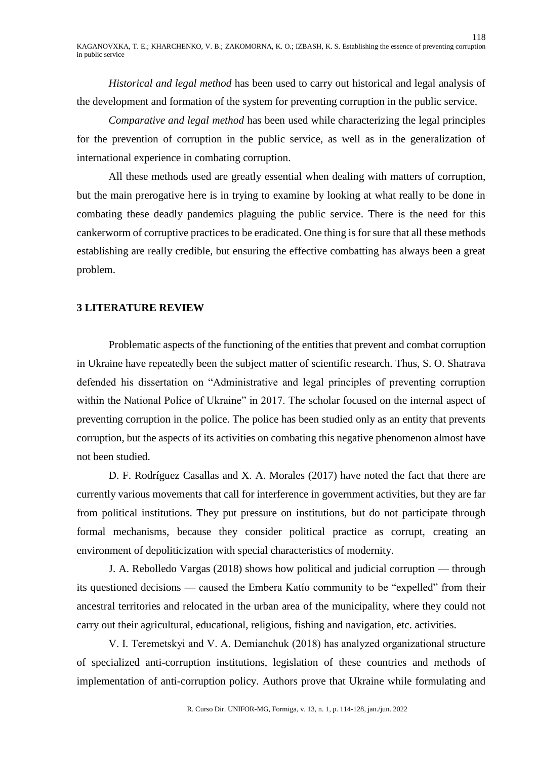*Historical and legal method* has been used to carry out historical and legal analysis of the development and formation of the system for preventing corruption in the public service.

*Comparative and legal method* has been used while characterizing the legal principles for the prevention of corruption in the public service, as well as in the generalization of international experience in combating corruption.

All these methods used are greatly essential when dealing with matters of corruption, but the main prerogative here is in trying to examine by looking at what really to be done in combating these deadly pandemics plaguing the public service. There is the need for this cankerworm of corruptive practices to be eradicated. One thing is for sure that all these methods establishing are really credible, but ensuring the effective combatting has always been a great problem.

# **3 LITERATURE REVIEW**

Problematic aspects of the functioning of the entities that prevent and combat corruption in Ukraine have repeatedly been the subject matter of scientific research. Thus, S. O. Shatrava defended his dissertation on "Administrative and legal principles of preventing corruption within the National Police of Ukraine" in 2017. The scholar focused on the internal aspect of preventing corruption in the police. The police has been studied only as an entity that prevents corruption, but the aspects of its activities on combating this negative phenomenon almost have not been studied.

D. F. Rodríguez Casallas and X. A. Morales (2017) have noted the fact that there are currently various movements that call for interference in government activities, but they are far from political institutions. They put pressure on institutions, but do not participate through formal mechanisms, because they consider political practice as corrupt, creating an environment of depoliticization with special characteristics of modernity.

J. A. Rebolledo Vargas (2018) shows how political and judicial corruption — through its questioned decisions — caused the Embera Katío community to be "expelled" from their ancestral territories and relocated in the urban area of the municipality, where they could not carry out their agricultural, educational, religious, fishing and navigation, etc. activities.

V. I. Teremetskyi and V. А. Demianchuk (2018) has analyzed organizational structure of specialized anti-corruption institutions, legislation of these countries and methods of implementation of anti-corruption policy. Authors prove that Ukraine while formulating and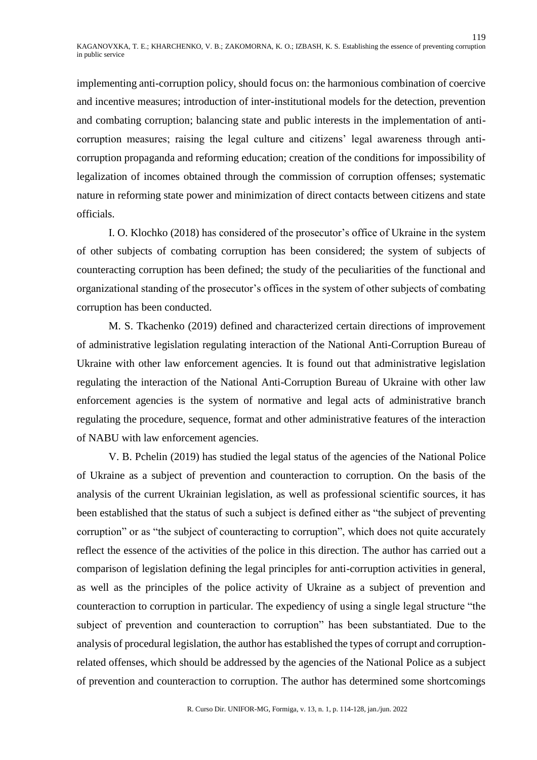implementing anti-corruption policy, should focus on: the harmonious combination of coercive and incentive measures; introduction of inter-institutional models for the detection, prevention and combating corruption; balancing state and public interests in the implementation of anticorruption measures; raising the legal culture and citizens' legal awareness through anticorruption propaganda and reforming education; creation of the conditions for impossibility of legalization of incomes obtained through the commission of corruption offenses; systematic nature in reforming state power and minimization of direct contacts between citizens and state officials.

I. O. Klochko (2018) has considered of the prosecutor's office of Ukraine in the system of other subjects of combating corruption has been considered; the system of subjects of counteracting corruption has been defined; the study of the peculiarities of the functional and organizational standing of the prosecutor's offices in the system of other subjects of combating corruption has been conducted.

M. S. Tkachenko (2019) defined and characterized certain directions of improvement of administrative legislation regulating interaction of the National Anti-Corruption Bureau of Ukraine with other law enforcement agencies. It is found out that administrative legislation regulating the interaction of the National Anti-Corruption Bureau of Ukraine with other law enforcement agencies is the system of normative and legal acts of administrative branch regulating the procedure, sequence, format and other administrative features of the interaction of NABU with law enforcement agencies.

V. B. Pchelin (2019) has studied the legal status of the agencies of the National Police of Ukraine as a subject of prevention and counteraction to corruption. On the basis of the analysis of the current Ukrainian legislation, as well as professional scientific sources, it has been established that the status of such a subject is defined either as "the subject of preventing corruption" or as "the subject of counteracting to corruption", which does not quite accurately reflect the essence of the activities of the police in this direction. The author has carried out a comparison of legislation defining the legal principles for anti-corruption activities in general, as well as the principles of the police activity of Ukraine as a subject of prevention and counteraction to corruption in particular. The expediency of using a single legal structure "the subject of prevention and counteraction to corruption" has been substantiated. Due to the analysis of procedural legislation, the author has established the types of corrupt and corruptionrelated offenses, which should be addressed by the agencies of the National Police as a subject of prevention and counteraction to corruption. The author has determined some shortcomings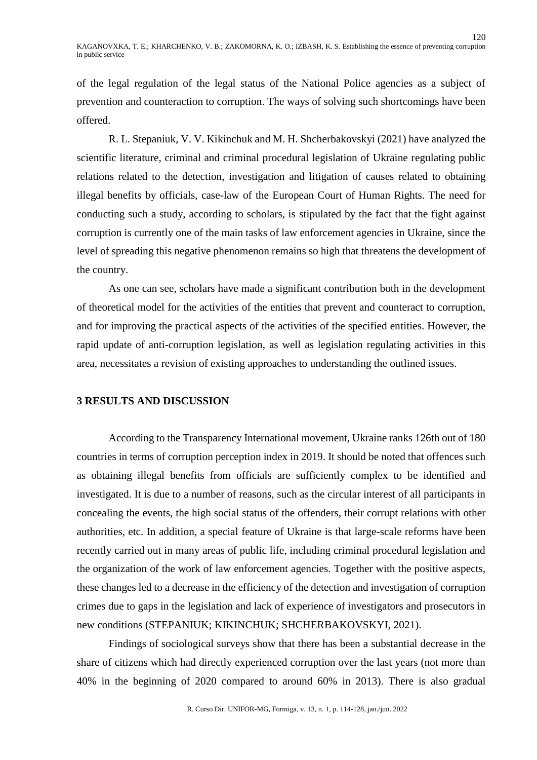of the legal regulation of the legal status of the National Police agencies as a subject of prevention and counteraction to corruption. The ways of solving such shortcomings have been offered.

R. L. Stepaniuk, V. V. Kikinchuk and M. H. Shcherbakovskyi (2021) have analyzed the scientific literature, criminal and criminal procedural legislation of Ukraine regulating public relations related to the detection, investigation and litigation of causes related to obtaining illegal benefits by officials, case-law of the European Court of Human Rights. The need for conducting such a study, according to scholars, is stipulated by the fact that the fight against corruption is currently one of the main tasks of law enforcement agencies in Ukraine, since the level of spreading this negative phenomenon remains so high that threatens the development of the country.

As one can see, scholars have made a significant contribution both in the development of theoretical model for the activities of the entities that prevent and counteract to corruption, and for improving the practical aspects of the activities of the specified entities. However, the rapid update of anti-corruption legislation, as well as legislation regulating activities in this area, necessitates a revision of existing approaches to understanding the outlined issues.

# **3 RESULTS AND DISCUSSION**

According to the Transparency International movement, Ukraine ranks 126th out of 180 countries in terms of corruption perception index in 2019. It should be noted that offences such as obtaining illegal benefits from officials are sufficiently complex to be identified and investigated. It is due to a number of reasons, such as the circular interest of all participants in concealing the events, the high social status of the offenders, their corrupt relations with other authorities, etc. In addition, a special feature of Ukraine is that large-scale reforms have been recently carried out in many areas of public life, including criminal procedural legislation and the organization of the work of law enforcement agencies. Together with the positive aspects, these changes led to a decrease in the efficiency of the detection and investigation of corruption crimes due to gaps in the legislation and lack of experience of investigators and prosecutors in new conditions (STEPANIUK; KIKINCHUK; SHCHERBAKOVSKYI, 2021).

Findings of sociological surveys show that there has been a substantial decrease in the share of citizens which had directly experienced corruption over the last years (not more than 40% in the beginning of 2020 compared to around 60% in 2013). There is also gradual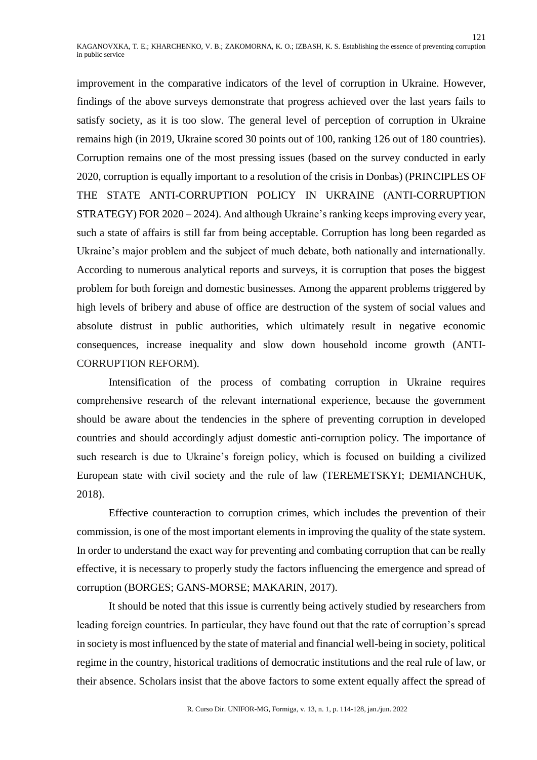improvement in the comparative indicators of the level of corruption in Ukraine. However, findings of the above surveys demonstrate that progress achieved over the last years fails to satisfy society, as it is too slow. The general level of perception of corruption in Ukraine remains high (in 2019, Ukraine scored 30 points out of 100, ranking 126 out of 180 countries). Corruption remains one of the most pressing issues (based on the survey conducted in early 2020, corruption is equally important to a resolution of the crisis in Donbas) (PRINCIPLES OF THE STATE ANTI-CORRUPTION POLICY IN UKRAINE (ANTI-CORRUPTION STRATEGY) FOR 2020 – 2024). And although Ukraine's ranking keeps improving every year, such a state of affairs is still far from being acceptable. Corruption has long been regarded as Ukraine's major problem and the subject of much debate, both nationally and internationally. According to numerous analytical reports and surveys, it is corruption that poses the biggest problem for both foreign and domestic businesses. Among the apparent problems triggered by high levels of bribery and abuse of office are destruction of the system of social values and absolute distrust in public authorities, which ultimately result in negative economic consequences, increase inequality and slow down household income growth (ANTI-CORRUPTION REFORM).

Intensification of the process of combating corruption in Ukraine requires comprehensive research of the relevant international experience, because the government should be aware about the tendencies in the sphere of preventing corruption in developed countries and should accordingly adjust domestic anti-corruption policy. The importance of such research is due to Ukraine's foreign policy, which is focused on building a civilized European state with civil society and the rule of law (TEREMETSKYI; DEMIANCHUK, 2018).

Effective counteraction to corruption crimes, which includes the prevention of their commission, is one of the most important elements in improving the quality of the state system. In order to understand the exact way for preventing and combating corruption that can be really effective, it is necessary to properly study the factors influencing the emergence and spread of corruption (BORGES; GANS-MORSE; MAKARIN, 2017).

It should be noted that this issue is currently being actively studied by researchers from leading foreign countries. In particular, they have found out that the rate of corruption's spread in society is most influenced by the state of material and financial well-being in society, political regime in the country, historical traditions of democratic institutions and the real rule of law, or their absence. Scholars insist that the above factors to some extent equally affect the spread of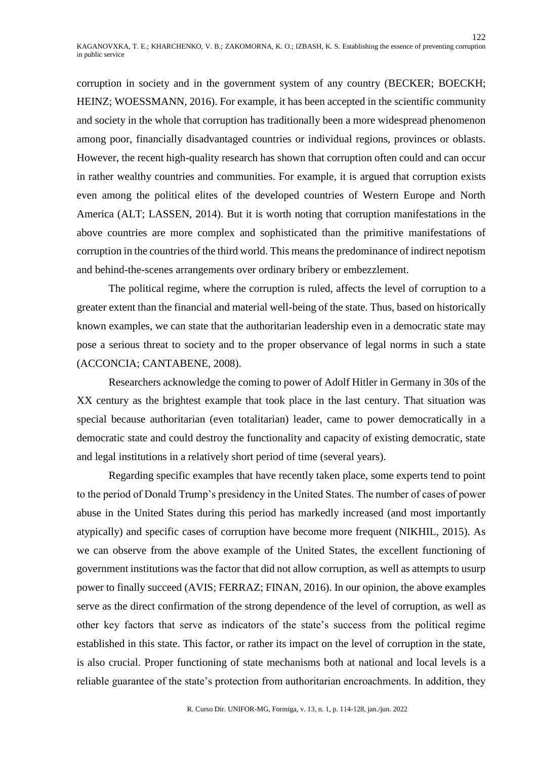corruption in society and in the government system of any country (BECKER; BOECKH; HEINZ; WOESSMANN, 2016). For example, it has been accepted in the scientific community and society in the whole that corruption has traditionally been a more widespread phenomenon among poor, financially disadvantaged countries or individual regions, provinces or oblasts. However, the recent high-quality research has shown that corruption often could and can occur in rather wealthy countries and communities. For example, it is argued that corruption exists even among the political elites of the developed countries of Western Europe and North America (ALT; LASSEN, 2014). But it is worth noting that corruption manifestations in the above countries are more complex and sophisticated than the primitive manifestations of corruption in the countries of the third world. This means the predominance of indirect nepotism and behind-the-scenes arrangements over ordinary bribery or embezzlement.

The political regime, where the corruption is ruled, affects the level of corruption to a greater extent than the financial and material well-being of the state. Thus, based on historically known examples, we can state that the authoritarian leadership even in a democratic state may pose a serious threat to society and to the proper observance of legal norms in such a state (ACCONCIA; CANTABENE, 2008).

Researchers acknowledge the coming to power of Adolf Hitler in Germany in 30s of the XX century as the brightest example that took place in the last century. That situation was special because authoritarian (even totalitarian) leader, came to power democratically in a democratic state and could destroy the functionality and capacity of existing democratic, state and legal institutions in a relatively short period of time (several years).

Regarding specific examples that have recently taken place, some experts tend to point to the period of Donald Trump's presidency in the United States. The number of cases of power abuse in the United States during this period has markedly increased (and most importantly atypically) and specific cases of corruption have become more frequent (NIKHIL, 2015). As we can observe from the above example of the United States, the excellent functioning of government institutions was the factor that did not allow corruption, as well as attempts to usurp power to finally succeed (AVIS; FERRAZ; FINAN, 2016). In our opinion, the above examples serve as the direct confirmation of the strong dependence of the level of corruption, as well as other key factors that serve as indicators of the state's success from the political regime established in this state. This factor, or rather its impact on the level of corruption in the state, is also crucial. Proper functioning of state mechanisms both at national and local levels is a reliable guarantee of the state's protection from authoritarian encroachments. In addition, they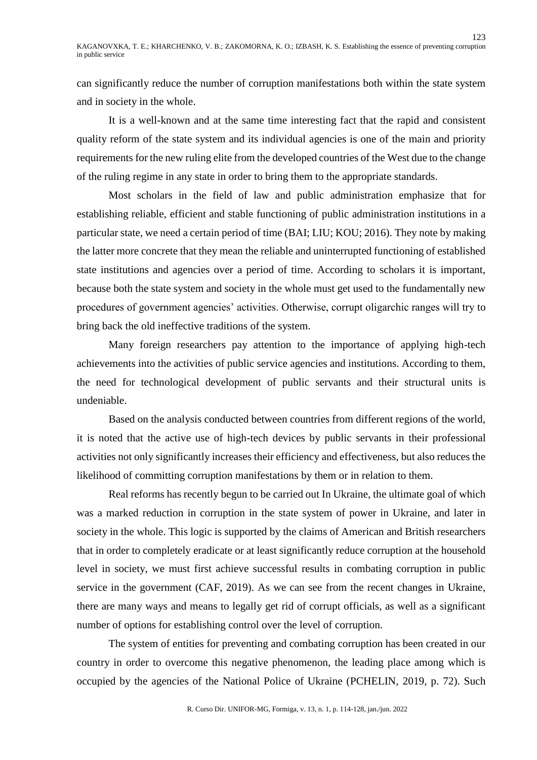can significantly reduce the number of corruption manifestations both within the state system and in society in the whole.

It is a well-known and at the same time interesting fact that the rapid and consistent quality reform of the state system and its individual agencies is one of the main and priority requirements for the new ruling elite from the developed countries of the West due to the change of the ruling regime in any state in order to bring them to the appropriate standards.

Most scholars in the field of law and public administration emphasize that for establishing reliable, efficient and stable functioning of public administration institutions in a particular state, we need a certain period of time (BAI; LIU; KOU; 2016). They note by making the latter more concrete that they mean the reliable and uninterrupted functioning of established state institutions and agencies over a period of time. According to scholars it is important, because both the state system and society in the whole must get used to the fundamentally new procedures of government agencies' activities. Otherwise, corrupt oligarchic ranges will try to bring back the old ineffective traditions of the system.

Many foreign researchers pay attention to the importance of applying high-tech achievements into the activities of public service agencies and institutions. According to them, the need for technological development of public servants and their structural units is undeniable.

Based on the analysis conducted between countries from different regions of the world, it is noted that the active use of high-tech devices by public servants in their professional activities not only significantly increases their efficiency and effectiveness, but also reduces the likelihood of committing corruption manifestations by them or in relation to them.

Real reforms has recently begun to be carried out In Ukraine, the ultimate goal of which was a marked reduction in corruption in the state system of power in Ukraine, and later in society in the whole. This logic is supported by the claims of American and British researchers that in order to completely eradicate or at least significantly reduce corruption at the household level in society, we must first achieve successful results in combating corruption in public service in the government (CAF, 2019). As we can see from the recent changes in Ukraine, there are many ways and means to legally get rid of corrupt officials, as well as a significant number of options for establishing control over the level of corruption.

The system of entities for preventing and combating corruption has been created in our country in order to overcome this negative phenomenon, the leading place among which is occupied by the agencies of the National Police of Ukraine (PCHELIN, 2019, p. 72). Such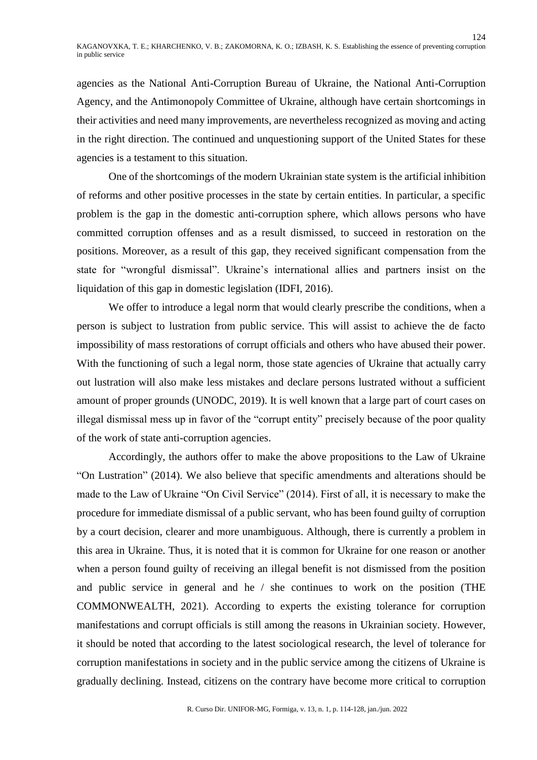agencies as the National Anti-Corruption Bureau of Ukraine, the National Anti-Corruption Agency, and the Antimonopoly Committee of Ukraine, although have certain shortcomings in their activities and need many improvements, are nevertheless recognized as moving and acting in the right direction. The continued and unquestioning support of the United States for these agencies is a testament to this situation.

One of the shortcomings of the modern Ukrainian state system is the artificial inhibition of reforms and other positive processes in the state by certain entities. In particular, a specific problem is the gap in the domestic anti-corruption sphere, which allows persons who have committed corruption offenses and as a result dismissed, to succeed in restoration on the positions. Moreover, as a result of this gap, they received significant compensation from the state for "wrongful dismissal". Ukraine's international allies and partners insist on the liquidation of this gap in domestic legislation (IDFI, 2016).

We offer to introduce a legal norm that would clearly prescribe the conditions, when a person is subject to lustration from public service. This will assist to achieve the de facto impossibility of mass restorations of corrupt officials and others who have abused their power. With the functioning of such a legal norm, those state agencies of Ukraine that actually carry out lustration will also make less mistakes and declare persons lustrated without a sufficient amount of proper grounds (UNODC, 2019). It is well known that a large part of court cases on illegal dismissal mess up in favor of the "corrupt entity" precisely because of the poor quality of the work of state anti-corruption agencies.

Accordingly, the authors offer to make the above propositions to the Law of Ukraine "On Lustration" (2014). We also believe that specific amendments and alterations should be made to the Law of Ukraine "On Civil Service" (2014). First of all, it is necessary to make the procedure for immediate dismissal of a public servant, who has been found guilty of corruption by a court decision, clearer and more unambiguous. Although, there is currently a problem in this area in Ukraine. Thus, it is noted that it is common for Ukraine for one reason or another when a person found guilty of receiving an illegal benefit is not dismissed from the position and public service in general and he / she continues to work on the position (THE COMMONWEALTH, 2021). According to experts the existing tolerance for corruption manifestations and corrupt officials is still among the reasons in Ukrainian society. However, it should be noted that according to the latest sociological research, the level of tolerance for corruption manifestations in society and in the public service among the citizens of Ukraine is gradually declining. Instead, citizens on the contrary have become more critical to corruption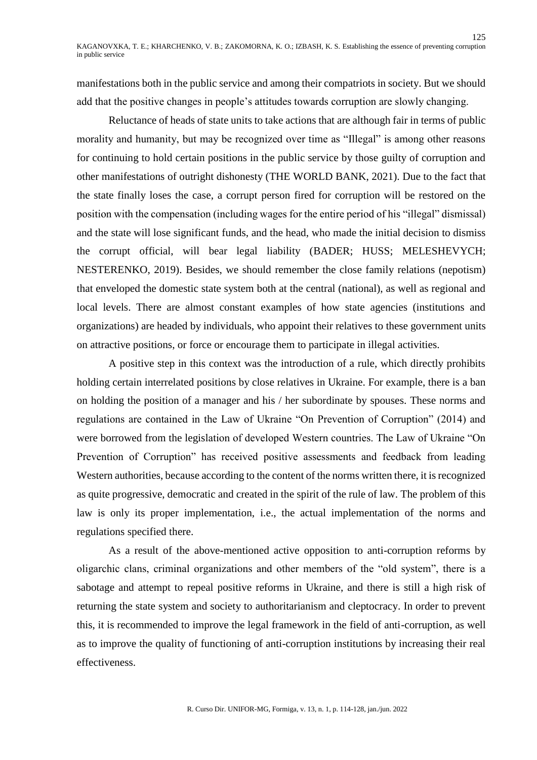manifestations both in the public service and among their compatriots in society. But we should add that the positive changes in people's attitudes towards corruption are slowly changing.

Reluctance of heads of state units to take actions that are although fair in terms of public morality and humanity, but may be recognized over time as "Illegal" is among other reasons for continuing to hold certain positions in the public service by those guilty of corruption and other manifestations of outright dishonesty (THE WORLD BANK, 2021). Due to the fact that the state finally loses the case, a corrupt person fired for corruption will be restored on the position with the compensation (including wages for the entire period of his "illegal" dismissal) and the state will lose significant funds, and the head, who made the initial decision to dismiss the corrupt official, will bear legal liability (BADER; HUSS; MELESHEVYCH; NESTERENKO, 2019). Besides, we should remember the close family relations (nepotism) that enveloped the domestic state system both at the central (national), as well as regional and local levels. There are almost constant examples of how state agencies (institutions and organizations) are headed by individuals, who appoint their relatives to these government units on attractive positions, or force or encourage them to participate in illegal activities.

A positive step in this context was the introduction of a rule, which directly prohibits holding certain interrelated positions by close relatives in Ukraine. For example, there is a ban on holding the position of a manager and his / her subordinate by spouses. These norms and regulations are contained in the Law of Ukraine "On Prevention of Corruption" (2014) and were borrowed from the legislation of developed Western countries. The Law of Ukraine "On Prevention of Corruption" has received positive assessments and feedback from leading Western authorities, because according to the content of the norms written there, it is recognized as quite progressive, democratic and created in the spirit of the rule of law. The problem of this law is only its proper implementation, i.e., the actual implementation of the norms and regulations specified there.

As a result of the above-mentioned active opposition to anti-corruption reforms by oligarchic clans, criminal organizations and other members of the "old system", there is a sabotage and attempt to repeal positive reforms in Ukraine, and there is still a high risk of returning the state system and society to authoritarianism and cleptocracy. In order to prevent this, it is recommended to improve the legal framework in the field of anti-corruption, as well as to improve the quality of functioning of anti-corruption institutions by increasing their real effectiveness.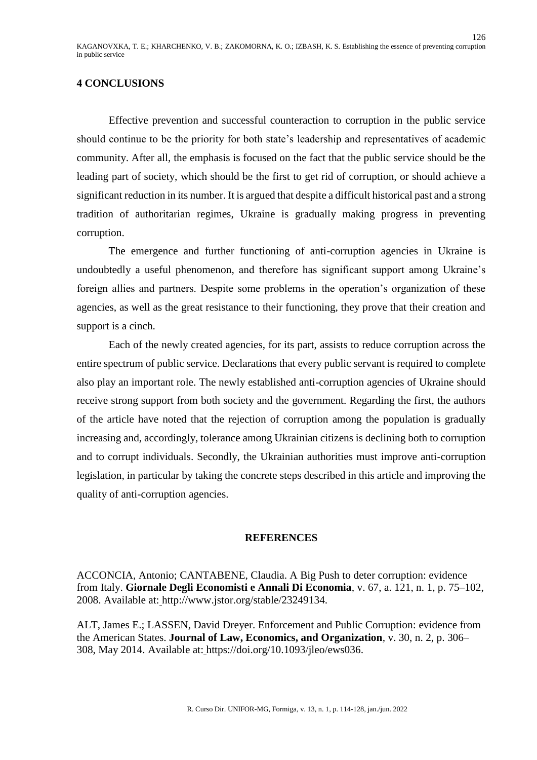### **4 CONCLUSIONS**

Effective prevention and successful counteraction to corruption in the public service should continue to be the priority for both state's leadership and representatives of academic community. After all, the emphasis is focused on the fact that the public service should be the leading part of society, which should be the first to get rid of corruption, or should achieve a significant reduction in its number. It is argued that despite a difficult historical past and a strong tradition of authoritarian regimes, Ukraine is gradually making progress in preventing corruption.

The emergence and further functioning of anti-corruption agencies in Ukraine is undoubtedly a useful phenomenon, and therefore has significant support among Ukraine's foreign allies and partners. Despite some problems in the operation's organization of these agencies, as well as the great resistance to their functioning, they prove that their creation and support is a cinch.

Each of the newly created agencies, for its part, assists to reduce corruption across the entire spectrum of public service. Declarations that every public servant is required to complete also play an important role. The newly established anti-corruption agencies of Ukraine should receive strong support from both society and the government. Regarding the first, the authors of the article have noted that the rejection of corruption among the population is gradually increasing and, accordingly, tolerance among Ukrainian citizens is declining both to corruption and to corrupt individuals. Secondly, the Ukrainian authorities must improve anti-corruption legislation, in particular by taking the concrete steps described in this article and improving the quality of anti-corruption agencies.

## **REFERENCES**

ACCONCIA, Antonio; CANTABENE, Claudia. A Big Push to deter corruption: evidence from Italy. **Giornale Degli Economisti e Annali Di Economia***,* v. 67, a. 121, n. 1, p. 75–102, 2008. Available at: http://www.jstor.org/stable/23249134.

ALT, James E.; LASSEN, David Dreyer. Enforcement and Public Corruption: evidence from the American States. **Journal of Law, Economics, and Organization***,* v. 30, n. 2, p. 306– 308, May 2014. Available at: [https://doi.org/10.1093/jleo/ews036.](https://doi.org/10.1093/jleo/ews036)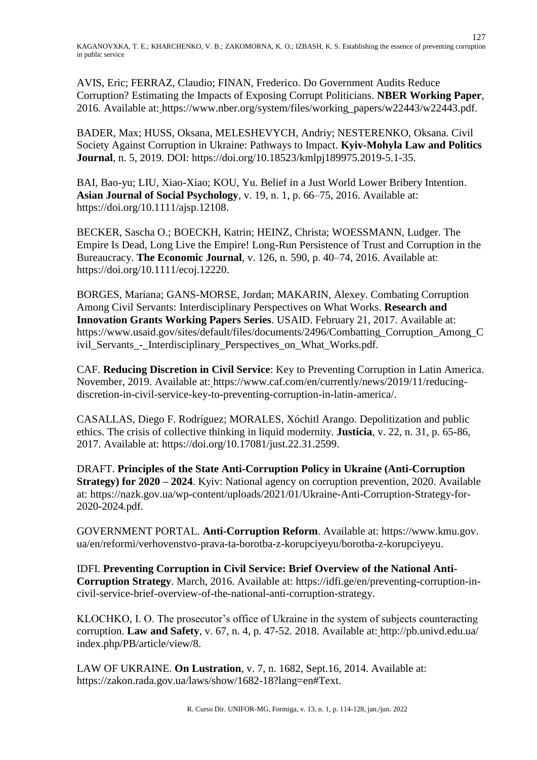AVIS, Eric; FERRAZ, Claudio; FINAN, Frederico. Do Government Audits Reduce Corruption? Estimating the Impacts of Exposing Corrupt Politicians. **NBER Working Paper**, 2016*.* Available at: https://www.nber.org/system/files/working\_papers/w22443/w22443.pdf.

BADER, Max; HUSS, Oksana, MELESHEVYCH, Andriy; NESTERENKO, Oksana. Civil Society Against Corruption in Ukraine: Pathways to Impact. **Kyiv-Mohyla Law and Politics Journal***,* n. 5, 2019. DOI: [https://doi.org/10.18523/kmlpj189975.2019-5.1-35.](https://doi.org/10.18523/kmlpj189975.2019-5.1-35)

BAI, Bao-yu; LIU, Xiao-Xiao; KOU, Yu. Belief in a Just World Lower Bribery Intention. **Asian Journal of Social Psychology***,* v. 19, n. 1, p. 66–75, 2016. Available at: [https://doi.org/10.1111/ajsp.12108.](https://doi.org/10.1111/ajsp.12108)

BECKER, Sascha O.; BOECKH, [Katrin;](https://onlinelibrary.wiley.com/action/doSearch?ContribAuthorRaw=Boeckh%2C+Katrin) HEINZ, [Christa;](https://onlinelibrary.wiley.com/action/doSearch?ContribAuthorRaw=Hainz%2C+Christa) WOESSMANN, Ludger. The Empire Is Dead, Long Live the Empire! Long-Run Persistence of Trust and Corruption in the Bureaucracy. **The Economic Journal***,* v. 126, n. 590, p. 40–74, 2016. Available at: [https://doi.org/10.1111/ecoj.12220.](https://doi.org/10.1111/ecoj.12220)

BORGES, Mariana; GANS-MORSE, Jordan; MAKARIN, Alexey. Combating Corruption Among Civil Servants: Interdisciplinary Perspectives on What Works. **Research and Innovation Grants Working Papers Series**. USAID. February 21, 2017. Available at: https://www.usaid.gov/sites/default/files/documents/2496/Combatting\_Corruption\_Among\_C ivil\_Servants\_-\_Interdisciplinary\_Perspectives\_on\_What\_Works.pdf.

CAF. **Reducing Discretion in Civil Service**: Key to Preventing Corruption in Latin America. November, 2019. Available at: https://www.caf.com/en/currently/news/2019/11/reducingdiscretion-in-civil-service-key-to-preventing-corruption-in-latin-america/.

CASALLAS, Diego F. Rodríguez; MORALES, Xóchitl Arango. Depolitization and public ethics. The crisis of collective thinking in liquid modernity. **Justicia**, v. 22, n. 31, p. 65-86, 2017. Available at: [https://doi.org/10.17081/just.22.31.2599.](https://doi.org/10.17081/just.22.31.2599)

DRAFT. **Principles of the State Anti-Corruption Policy in Ukraine (Anti-Corruption Strategy) for 2020 – 2024**. Kyiv: National agency on corruption prevention, 2020. Available at: https://nazk.gov.ua/wp-content/uploads/2021/01/Ukraine-Anti-Corruption-Strategy-for-2020-2024.pdf.

GOVERNMENT PORTAL. **Anti-Corruption Reform**. Available at: https://www.kmu.gov. ua/en/reformi/verhovenstvo-prava-ta-borotba-z-korupciyeyu/borotba-z-korupciyeyu.

IDFI. **Preventing Corruption in Civil Service: Brief Overview of the National Anti-Corruption Strategy**. March, 2016. Available at: https://idfi.ge/en/preventing-corruption-incivil-service-brief-overview-of-the-national-anti-corruption-strategy.

KLOCHKO, I. O. The prosecutor's office of Ukraine in the system of subjects counteracting corruption. **Law and Safety**, v. 67, n. 4, p. 47-52. 2018. Available at: [http://pb.univd.edu.ua/](http://pb.univd.edu.ua/index.php/PB/article/view/8) [index.php/PB/article/view/8.](http://pb.univd.edu.ua/index.php/PB/article/view/8)

LAW OF UKRAINE. **On Lustration**, v. 7, n. 1682, Sept.16, 2014. Available at: https://zakon.rada.gov.ua/laws/show/1682-18?lang=en#Text.